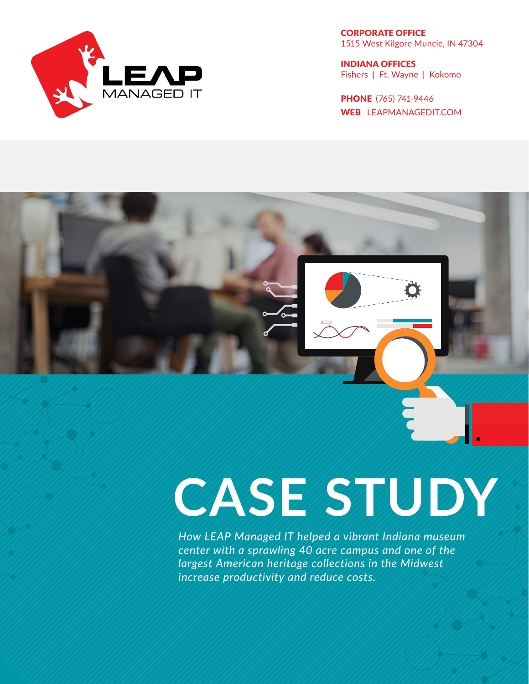

CORPORATE OFFICE 1515 West Kilgore Muncie, IN 47304

INDIANA OFFICES Fishers | Ft. Wayne | Kokomo

PHONE (765) 741-9446 WEB LEAPMANAGEDIT.COM

# **CASE STUDY**

*How LEAP Managed IT helped a vibrant Indiana museum center with a sprawling 40 acre campus and one of the largest American heritage collections in the Midwest increase productivity and reduce costs.*